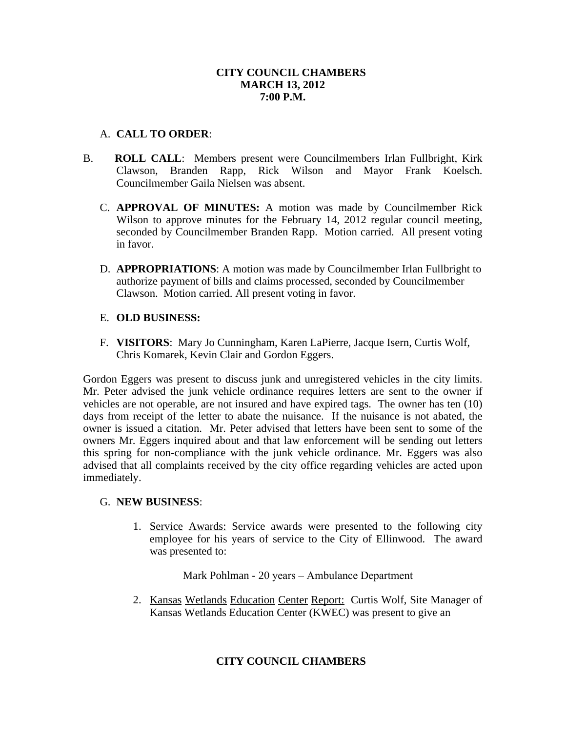## **CITY COUNCIL CHAMBERS MARCH 13, 2012 7:00 P.M.**

# A. **CALL TO ORDER**:

- B. **ROLL CALL**: Members present were Councilmembers Irlan Fullbright, Kirk Clawson, Branden Rapp, Rick Wilson and Mayor Frank Koelsch. Councilmember Gaila Nielsen was absent.
	- C. **APPROVAL OF MINUTES:** A motion was made by Councilmember Rick Wilson to approve minutes for the February 14, 2012 regular council meeting, seconded by Councilmember Branden Rapp. Motion carried. All present voting in favor.
	- D. **APPROPRIATIONS**: A motion was made by Councilmember Irlan Fullbright to authorize payment of bills and claims processed, seconded by Councilmember Clawson. Motion carried. All present voting in favor.

# E. **OLD BUSINESS:**

F. **VISITORS**: Mary Jo Cunningham, Karen LaPierre, Jacque Isern, Curtis Wolf, Chris Komarek, Kevin Clair and Gordon Eggers.

Gordon Eggers was present to discuss junk and unregistered vehicles in the city limits. Mr. Peter advised the junk vehicle ordinance requires letters are sent to the owner if vehicles are not operable, are not insured and have expired tags. The owner has ten (10) days from receipt of the letter to abate the nuisance. If the nuisance is not abated, the owner is issued a citation. Mr. Peter advised that letters have been sent to some of the owners Mr. Eggers inquired about and that law enforcement will be sending out letters this spring for non-compliance with the junk vehicle ordinance. Mr. Eggers was also advised that all complaints received by the city office regarding vehicles are acted upon immediately.

## G. **NEW BUSINESS**:

1. Service Awards: Service awards were presented to the following city employee for his years of service to the City of Ellinwood. The award was presented to:

Mark Pohlman - 20 years – Ambulance Department

2. Kansas Wetlands Education Center Report: Curtis Wolf, Site Manager of Kansas Wetlands Education Center (KWEC) was present to give an

# **CITY COUNCIL CHAMBERS**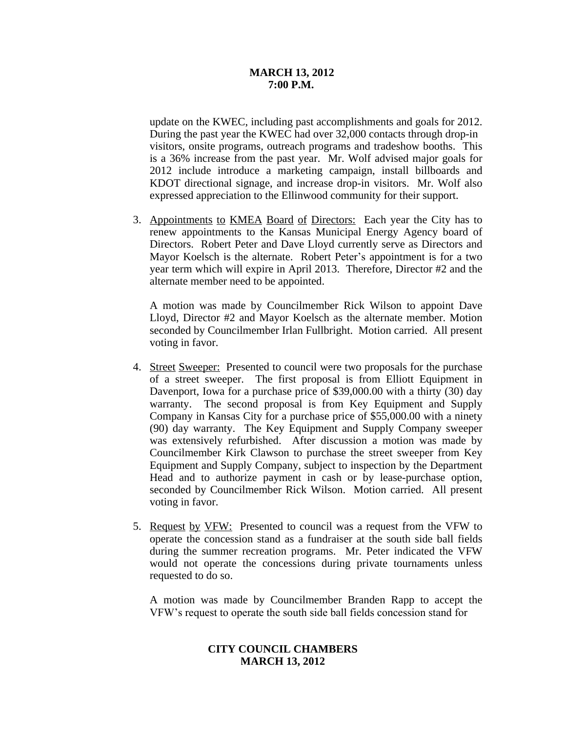## **MARCH 13, 2012 7:00 P.M.**

update on the KWEC, including past accomplishments and goals for 2012. During the past year the KWEC had over 32,000 contacts through drop-in visitors, onsite programs, outreach programs and tradeshow booths. This is a 36% increase from the past year. Mr. Wolf advised major goals for 2012 include introduce a marketing campaign, install billboards and KDOT directional signage, and increase drop-in visitors. Mr. Wolf also expressed appreciation to the Ellinwood community for their support.

3. Appointments to KMEA Board of Directors: Each year the City has to renew appointments to the Kansas Municipal Energy Agency board of Directors. Robert Peter and Dave Lloyd currently serve as Directors and Mayor Koelsch is the alternate. Robert Peter's appointment is for a two year term which will expire in April 2013. Therefore, Director #2 and the alternate member need to be appointed.

A motion was made by Councilmember Rick Wilson to appoint Dave Lloyd, Director #2 and Mayor Koelsch as the alternate member. Motion seconded by Councilmember Irlan Fullbright. Motion carried. All present voting in favor.

- 4. Street Sweeper: Presented to council were two proposals for the purchase of a street sweeper. The first proposal is from Elliott Equipment in Davenport, Iowa for a purchase price of \$39,000.00 with a thirty (30) day warranty. The second proposal is from Key Equipment and Supply Company in Kansas City for a purchase price of \$55,000.00 with a ninety (90) day warranty. The Key Equipment and Supply Company sweeper was extensively refurbished. After discussion a motion was made by Councilmember Kirk Clawson to purchase the street sweeper from Key Equipment and Supply Company, subject to inspection by the Department Head and to authorize payment in cash or by lease-purchase option, seconded by Councilmember Rick Wilson. Motion carried. All present voting in favor.
- 5. Request by VFW: Presented to council was a request from the VFW to operate the concession stand as a fundraiser at the south side ball fields during the summer recreation programs. Mr. Peter indicated the VFW would not operate the concessions during private tournaments unless requested to do so.

A motion was made by Councilmember Branden Rapp to accept the VFW's request to operate the south side ball fields concession stand for

# **CITY COUNCIL CHAMBERS MARCH 13, 2012**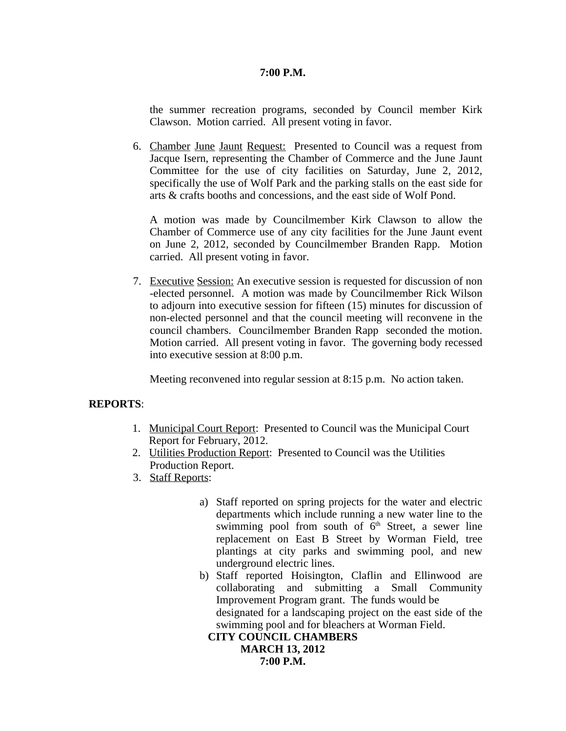#### **7:00 P.M.**

the summer recreation programs, seconded by Council member Kirk Clawson. Motion carried. All present voting in favor.

6. Chamber June Jaunt Request: Presented to Council was a request from Jacque Isern, representing the Chamber of Commerce and the June Jaunt Committee for the use of city facilities on Saturday, June 2, 2012, specifically the use of Wolf Park and the parking stalls on the east side for arts & crafts booths and concessions, and the east side of Wolf Pond.

A motion was made by Councilmember Kirk Clawson to allow the Chamber of Commerce use of any city facilities for the June Jaunt event on June 2, 2012, seconded by Councilmember Branden Rapp. Motion carried. All present voting in favor.

7. Executive Session: An executive session is requested for discussion of non -elected personnel. A motion was made by Councilmember Rick Wilson to adjourn into executive session for fifteen (15) minutes for discussion of non-elected personnel and that the council meeting will reconvene in the council chambers. Councilmember Branden Rapp seconded the motion. Motion carried. All present voting in favor. The governing body recessed into executive session at 8:00 p.m.

Meeting reconvened into regular session at 8:15 p.m. No action taken.

## **REPORTS**:

- 1. Municipal Court Report: Presented to Council was the Municipal Court Report for February, 2012.
- 2. Utilities Production Report: Presented to Council was the Utilities Production Report.
- 3. Staff Reports:
	- a) Staff reported on spring projects for the water and electric departments which include running a new water line to the swimming pool from south of 6<sup>th</sup> Street, a sewer line replacement on East B Street by Worman Field, tree plantings at city parks and swimming pool, and new underground electric lines.
	- b) Staff reported Hoisington, Claflin and Ellinwood are collaborating and submitting a Small Community Improvement Program grant. The funds would be designated for a landscaping project on the east side of the swimming pool and for bleachers at Worman Field. **CITY COUNCIL CHAMBERS**

**MARCH 13, 2012 7:00 P.M.**